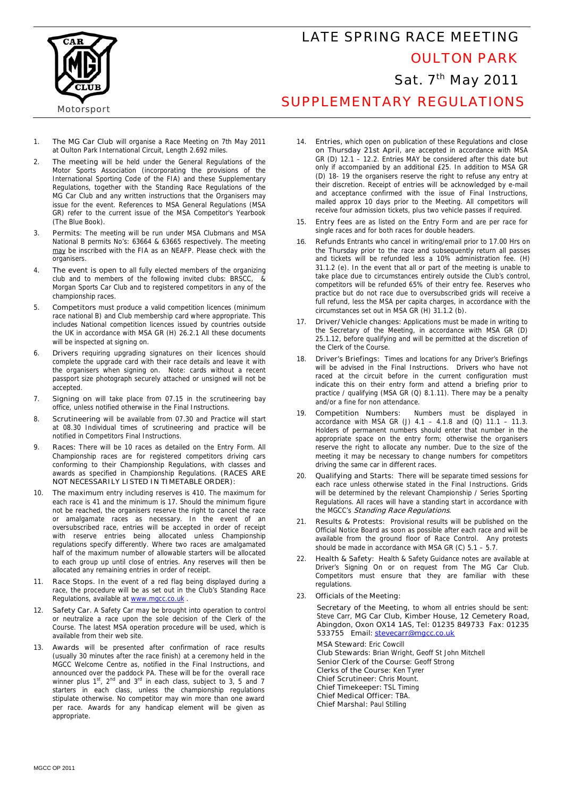

## LATE SPRING RACE MEETING OULTON PARK Sat. 7<sup>th</sup> May 2011 SUPPLEMENTARY REGULATIONS

**Motorsport** 

- 1. **The MG Car Club** will organise a Race Meeting on 7th May 2011 at Oulton Park International Circuit, Length 2.692 miles.
- 2. **The meeting** will be held under the General Regulations of the Motor Sports Association (incorporating the provisions of the International Sporting Code of the FIA) and these Supplementary Regulations, together with the Standing Race Regulations of the MG Car Club and any written instructions that the Organisers may issue for the event. References to MSA General Regulations (MSA GR) refer to the current issue of the MSA Competitor's Yearbook (The Blue Book).
- 3. **Permits**: The meeting will be run under MSA Clubmans and MSA National B permits No's: 63664 & 63665 respectively. The meeting may be inscribed with the FIA as an NEAFP. Please check with the organisers.
- 4. **The event is open to** all fully elected members of the organizing club and to members of the following invited clubs: BRSCC, & Morgan Sports Car Club and to registered competitors in any of the championship races.
- 5. **Competitors** must produce a valid competition licences (minimum race national B) and Club membership card where appropriate. This includes National competition licences issued by countries outside the UK in accordance with MSA GR (H) 26.2.1 All these documents will be inspected at signing on.
- 6. **Drivers** requiring upgrading signatures on their licences should complete the upgrade card with their race details and leave it with the organisers when signing on. Note: cards without a recent passport size photograph securely attached or unsigned will not be accepted.
- 7. **Signing on** will take place from 07.15 in the scrutineering bay office, unless notified otherwise in the Final Instructions.
- 8. **Scrutineering** will be available from 07.30 and Practice will start at 08.30 Individual times of scrutineering and practice will be notified in Competitors Final Instructions.
- 9. **Races:** There will be 10 races as detailed on the Entry Form. All Championship races are for registered competitors driving cars conforming to their Championship Regulations, with classes and awards as specified in Championship Regulations. **(RACES ARE NOT NECESSARILY LISTED IN TIMETABLE ORDER):**
- 10. **The maximum** entry including reserves is 410. The maximum for each race is 41 and the minimum is 17. Should the minimum figure not be reached, the organisers reserve the right to cancel the race or amalgamate races as necessary. In the event of an oversubscribed race, entries will be accepted in order of receipt with reserve entries being allocated unless Championship regulations specify differently. Where two races are amalgamated half of the maximum number of allowable starters will be allocated to each group up until close of entries. Any reserves will then be allocated any remaining entries in order of receipt.
- Race Stops. In the event of a red flag being displayed during a race, the procedure will be as set out in the Club's Standing Race Regulations, available at www.mgcc.co.uk
- 12. **Safety Car.** A Safety Car may be brought into operation to control or neutralize a race upon the sole decision of the Clerk of the Course. The latest MSA operation procedure will be used, which is available from their web site.
- 13. **Awards** will be presented after confirmation of race results (usually 30 minutes after the race finish) at a ceremony held in the MGCC Welcome Centre as, notified in the Final Instructions, and announced over the paddock PA. These will be for the overall race winner plus  $1^{\text{st}}$ ,  $2^{\text{nd}}$  and  $3^{\text{rd}}$  in each class, subject to 3, 5 and 7 starters in each class, unless the championship regulations stipulate otherwise. No competitor may win more than one award per race. Awards for any handicap element will be given as appropriate.
- 14. **Entries,** which open on publication of these Regulations and **close on Thursday 21st April**, are accepted in accordance with MSA GR (D) 12.1 – 12.2. Entries MAY be considered after this date but only if accompanied by an additional £25. In addition to MSA GR (D) 18- 19 the organisers reserve the right to refuse any entry at their discretion. Receipt of entries will be acknowledged by e-mail and acceptance confirmed with the issue of Final Instructions, mailed approx 10 days prior to the Meeting. All competitors will receive four admission tickets, plus two vehicle passes if required.
- 15. **Entry fees** are as listed on the Entry Form and are per race for single races and for both races for double headers.
- 16. **Refunds** Entrants who cancel in writing/email prior to 17.00 Hrs on the Thursday prior to the race and subsequently return all passes and tickets will be refunded less a 10% administration fee. (H) 31.1.2 (e). In the event that all or part of the meeting is unable to take place due to circumstances entirely outside the Club's control, competitors will be refunded 65% of their entry fee. Reserves who practice but do not race due to oversubscribed grids will receive a full refund, less the MSA per capita charges, in accordance with the circumstances set out in MSA GR (H) 31.1.2 (b).
- 17. **Driver/Vehicle changes:** Applications must be made in writing to the Secretary of the Meeting, in accordance with MSA GR (D) 25.1.12, before qualifying and will be permitted at the discretion of the Clerk of the Course.
- 18. **Driver's Briefings:** Times and locations for any Driver's Briefings will be advised in the Final Instructions. Drivers who have not raced at the circuit before in the current configuration must indicate this on their entry form and attend a briefing prior to practice / qualifying (MSA GR (Q) 8.1.11). There may be a penalty and/or a fine for non attendance.
- 19. **Competition Numbers:** Numbers must be displayed in accordance with MSA GR (J)  $4.1 - 4.1.8$  and (Q)  $11.1 - 11.3$ . Holders of permanent numbers should enter that number in the appropriate space on the entry form; otherwise the organisers reserve the right to allocate any number. Due to the size of the meeting it may be necessary to change numbers for competitors driving the same car in different races.
- 20. **Qualifying and Starts:** There will be separate timed sessions for each race unless otherwise stated in the Final Instructions. Grids will be determined by the relevant Championship / Series Sporting Regulations. All races will have a standing start in accordance with the MGCC's **Standing Race Regulations**.
- 21. **Results & Protests:** Provisional results will be published on the Official Notice Board as soon as possible after each race and will be available from the ground floor of Race Control. Any protests should be made in accordance with MSA GR (C)  $5.1 - 5.7$
- 22. **Health & Safety:** Health & Safety Guidance notes are available at Driver's Signing On or on request from The MG Car Club. Competitors must ensure that they are familiar with these regulations.
- 23. **Officials of the Meeting:**

 **Secretary of the Meeting**, to whom all entries should be sent: Steve Carr, **MG Car Club, Kimber House, 12 Cemetery Road, Abingdon, Oxon OX14 1AS, Tel: 01235 849733 Fax: 01235 533755 Email: stevecarr@mgcc.co.uk**

**MSA Steward:** Eric Cowcill **Club Stewards:** Brian Wright, Geoff St John Mitchell **Senior Clerk of the Course**: Geoff Strong **Clerks of the Course:** Ken Tyrer **Chief Scrutineer:** Chris Mount. **Chief Timekeeper:** TSL Timing **Chief Medical Officer:** TBA. **Chief Marshal:** Paul Stilling